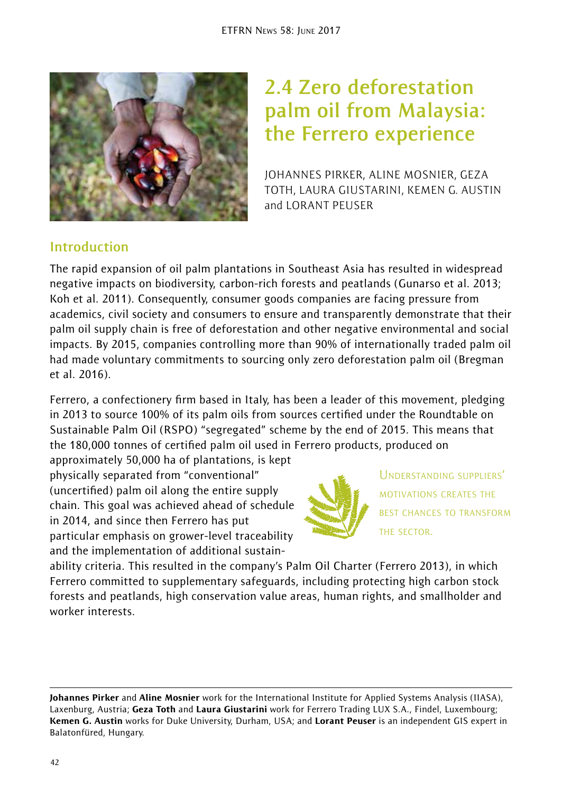

# **2.4 Zero deforestation palm oil from Malaysia: the Ferrero experience**

JOHANNES PIRKER, ALINE MOSNIER, GEZA TOTH, LAURA GIUSTARINI, KEMEN G. AUSTIN and LORANT PEUSER

# **Introduction**

The rapid expansion of oil palm plantations in Southeast Asia has resulted in widespread negative impacts on biodiversity, carbon-rich forests and peatlands (Gunarso et al. 2013; Koh et al. 2011). Consequently, consumer goods companies are facing pressure from academics, civil society and consumers to ensure and transparently demonstrate that their palm oil supply chain is free of deforestation and other negative environmental and social impacts. By 2015, companies controlling more than 90% of internationally traded palm oil had made voluntary commitments to sourcing only zero deforestation palm oil (Bregman et al. 2016).

Ferrero, a confectionery firm based in Italy, has been a leader of this movement, pledging in 2013 to source 100% of its palm oils from sources certified under the Roundtable on Sustainable Palm Oil (RSPO) "segregated" scheme by the end of 2015. This means that the 180,000 tonnes of certified palm oil used in Ferrero products, produced on

approximately 50,000 ha of plantations, is kept physically separated from "conventional" (uncertified) palm oil along the entire supply chain. This goal was achieved ahead of schedule in 2014, and since then Ferrero has put particular emphasis on grower-level traceability and the implementation of additional sustain-



UNDERSTANDING SUPPLIERS' MOTIVATIONS CREATES THE BEST CHANCES TO TRANSFORM THE SECTOR.

ability criteria. This resulted in the company's Palm Oil Charter (Ferrero 2013), in which Ferrero committed to supplementary safeguards, including protecting high carbon stock forests and peatlands, high conservation value areas, human rights, and smallholder and worker interests.

Johannes Pirker and Aline Mosnier work for the International Institute for Applied Systems Analysis (IIASA), Laxenburg, Austria; Geza Toth and Laura Giustarini work for Ferrero Trading LUX S.A., Findel, Luxembourg; Kemen G. Austin works for Duke University, Durham, USA; and Lorant Peuser is an independent GIS expert in Balatonfüred, Hungary.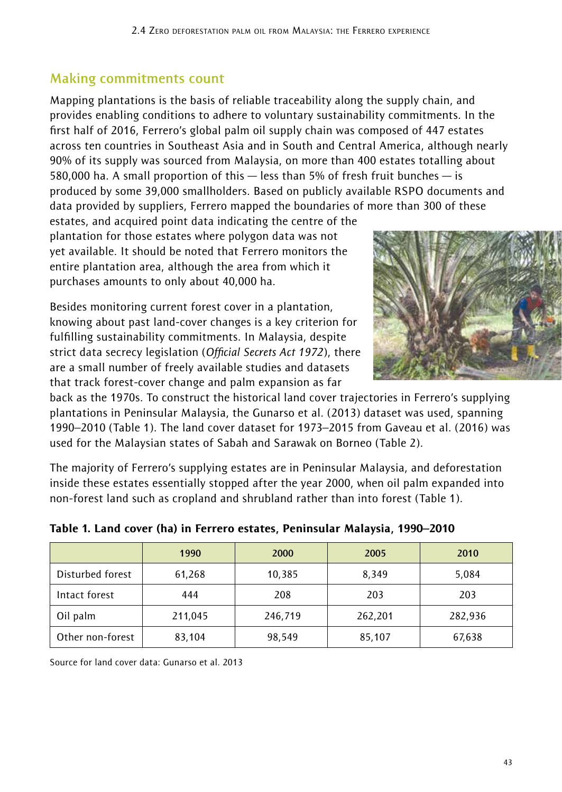## **Making commitments count**

Mapping plantations is the basis of reliable traceability along the supply chain, and provides enabling conditions to adhere to voluntary sustainability commitments. In the first half of 2016, Ferrero's global palm oil supply chain was composed of 447 estates across ten countries in Southeast Asia and in South and Central America, although nearly 90% of its supply was sourced from Malaysia, on more than 400 estates totalling about 580,000 ha. A small proportion of this — less than 5% of fresh fruit bunches — is produced by some 39,000 smallholders. Based on publicly available RSPO documents and data provided by suppliers, Ferrero mapped the boundaries of more than 300 of these

estates, and acquired point data indicating the centre of the plantation for those estates where polygon data was not yet available. It should be noted that Ferrero monitors the entire plantation area, although the area from which it purchases amounts to only about 40,000 ha.

Besides monitoring current forest cover in a plantation, knowing about past land-cover changes is a key criterion for fulfilling sustainability commitments. In Malaysia, despite strict data secrecy legislation (*Official Secrets Act 1972*), there are a small number of freely available studies and datasets that track forest-cover change and palm expansion as far



back as the 1970s. To construct the historical land cover trajectories in Ferrero's supplying plantations in Peninsular Malaysia, the Gunarso et al. (2013) dataset was used, spanning 1990–2010 (Table 1). The land cover dataset for 1973–2015 from Gaveau et al. (2016) was used for the Malaysian states of Sabah and Sarawak on Borneo (Table 2).

The majority of Ferrero's supplying estates are in Peninsular Malaysia, and deforestation inside these estates essentially stopped after the year 2000, when oil palm expanded into non-forest land such as cropland and shrubland rather than into forest (Table 1).

|                  | 1990    | 2000    | 2005    | 2010    |
|------------------|---------|---------|---------|---------|
| Disturbed forest | 61,268  | 10,385  | 8,349   | 5,084   |
| Intact forest    | 444     | 208     | 203     | 203     |
| Oil palm         | 211,045 | 246,719 | 262,201 | 282,936 |
| Other non-forest | 83,104  | 98,549  | 85,107  | 67,638  |

#### Table 1. Land cover (ha) in Ferrero estates, Peninsular Malaysia, 1990–2010

Source for land cover data: Gunarso et al. 2013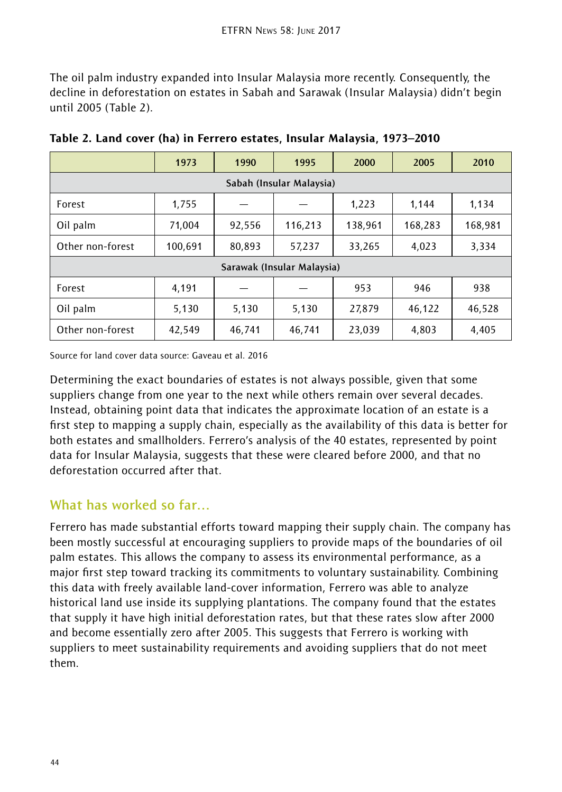The oil palm industry expanded into Insular Malaysia more recently. Consequently, the decline in deforestation on estates in Sabah and Sarawak (Insular Malaysia) didn't begin until 2005 (Table 2).

|                            | 1973    | 1990   | 1995    | 2000    | 2005    | 2010    |  |  |  |
|----------------------------|---------|--------|---------|---------|---------|---------|--|--|--|
| Sabah (Insular Malaysia)   |         |        |         |         |         |         |  |  |  |
| Forest                     | 1,755   |        |         | 1,223   | 1,144   | 1,134   |  |  |  |
| Oil palm                   | 71,004  | 92,556 | 116,213 | 138,961 | 168,283 | 168,981 |  |  |  |
| Other non-forest           | 100,691 | 80,893 | 57,237  | 33,265  | 4,023   | 3,334   |  |  |  |
| Sarawak (Insular Malaysia) |         |        |         |         |         |         |  |  |  |
| Forest                     | 4,191   |        |         | 953     | 946     | 938     |  |  |  |
| Oil palm                   | 5,130   | 5,130  | 5,130   | 27,879  | 46,122  | 46,528  |  |  |  |
| Other non-forest           | 42,549  | 46,741 | 46,741  | 23,039  | 4,803   | 4,405   |  |  |  |

Table 2. Land cover (ha) in Ferrero estates, Insular Malaysia, 1973–2010

Source for land cover data source: Gaveau et al. 2016

Determining the exact boundaries of estates is not always possible, given that some suppliers change from one year to the next while others remain over several decades. Instead, obtaining point data that indicates the approximate location of an estate is a first step to mapping a supply chain, especially as the availability of this data is better for both estates and smallholders. Ferrero's analysis of the 40 estates, represented by point data for Insular Malaysia, suggests that these were cleared before 2000, and that no deforestation occurred after that.

#### **What has worked so far…**

Ferrero has made substantial efforts toward mapping their supply chain. The company has been mostly successful at encouraging suppliers to provide maps of the boundaries of oil palm estates. This allows the company to assess its environmental performance, as a major first step toward tracking its commitments to voluntary sustainability. Combining this data with freely available land-cover information, Ferrero was able to analyze historical land use inside its supplying plantations. The company found that the estates that supply it have high initial deforestation rates, but that these rates slow after 2000 and become essentially zero after 2005. This suggests that Ferrero is working with suppliers to meet sustainability requirements and avoiding suppliers that do not meet them.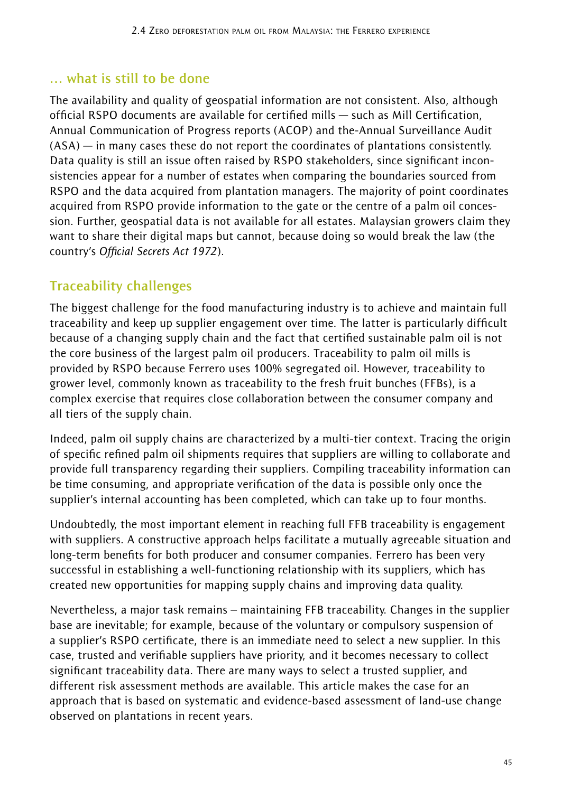#### **… what is still to be done**

The availability and quality of geospatial information are not consistent. Also, although official RSPO documents are available for certified mills — such as Mill Certification, Annual Communication of Progress reports (ACOP) and the-Annual Surveillance Audit (ASA) — in many cases these do not report the coordinates of plantations consistently. Data quality is still an issue often raised by RSPO stakeholders, since significant inconsistencies appear for a number of estates when comparing the boundaries sourced from RSPO and the data acquired from plantation managers. The majority of point coordinates acquired from RSPO provide information to the gate or the centre of a palm oil concession. Further, geospatial data is not available for all estates. Malaysian growers claim they want to share their digital maps but cannot, because doing so would break the law (the country's *Official Secrets Act 1972*).

## **Traceability challenges**

The biggest challenge for the food manufacturing industry is to achieve and maintain full traceability and keep up supplier engagement over time. The latter is particularly difficult because of a changing supply chain and the fact that certified sustainable palm oil is not the core business of the largest palm oil producers. Traceability to palm oil mills is provided by RSPO because Ferrero uses 100% segregated oil. However, traceability to grower level, commonly known as traceability to the fresh fruit bunches (FFBs), is a complex exercise that requires close collaboration between the consumer company and all tiers of the supply chain.

Indeed, palm oil supply chains are characterized by a multi-tier context. Tracing the origin of specific refined palm oil shipments requires that suppliers are willing to collaborate and provide full transparency regarding their suppliers. Compiling traceability information can be time consuming, and appropriate verification of the data is possible only once the supplier's internal accounting has been completed, which can take up to four months.

Undoubtedly, the most important element in reaching full FFB traceability is engagement with suppliers. A constructive approach helps facilitate a mutually agreeable situation and long-term benefits for both producer and consumer companies. Ferrero has been very successful in establishing a well-functioning relationship with its suppliers, which has created new opportunities for mapping supply chains and improving data quality.

Nevertheless, a major task remains – maintaining FFB traceability. Changes in the supplier base are inevitable; for example, because of the voluntary or compulsory suspension of a supplier's RSPO certificate, there is an immediate need to select a new supplier. In this case, trusted and verifiable suppliers have priority, and it becomes necessary to collect significant traceability data. There are many ways to select a trusted supplier, and different risk assessment methods are available. This article makes the case for an approach that is based on systematic and evidence-based assessment of land-use change observed on plantations in recent years.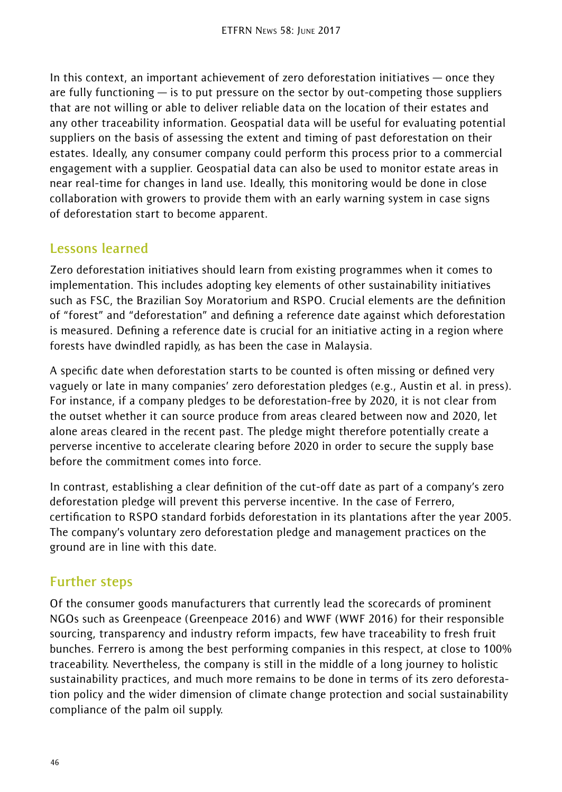In this context, an important achievement of zero deforestation initiatives — once they are fully functioning  $-$  is to put pressure on the sector by out-competing those suppliers that are not willing or able to deliver reliable data on the location of their estates and any other traceability information. Geospatial data will be useful for evaluating potential suppliers on the basis of assessing the extent and timing of past deforestation on their estates. Ideally, any consumer company could perform this process prior to a commercial engagement with a supplier. Geospatial data can also be used to monitor estate areas in near real-time for changes in land use. Ideally, this monitoring would be done in close collaboration with growers to provide them with an early warning system in case signs of deforestation start to become apparent.

## **Lessons learned**

Zero deforestation initiatives should learn from existing programmes when it comes to implementation. This includes adopting key elements of other sustainability initiatives such as FSC, the Brazilian Soy Moratorium and RSPO. Crucial elements are the definition of "forest" and "deforestation" and defining a reference date against which deforestation is measured. Defining a reference date is crucial for an initiative acting in a region where forests have dwindled rapidly, as has been the case in Malaysia.

A specific date when deforestation starts to be counted is often missing or defined very vaguely or late in many companies' zero deforestation pledges (e.g., Austin et al. in press). For instance, if a company pledges to be deforestation-free by 2020, it is not clear from the outset whether it can source produce from areas cleared between now and 2020, let alone areas cleared in the recent past. The pledge might therefore potentially create a perverse incentive to accelerate clearing before 2020 in order to secure the supply base before the commitment comes into force.

In contrast, establishing a clear definition of the cut-off date as part of a company's zero deforestation pledge will prevent this perverse incentive. In the case of Ferrero, certification to RSPO standard forbids deforestation in its plantations after the year 2005. The company's voluntary zero deforestation pledge and management practices on the ground are in line with this date.

## **Further steps**

Of the consumer goods manufacturers that currently lead the scorecards of prominent NGOs such as Greenpeace (Greenpeace 2016) and WWF (WWF 2016) for their responsible sourcing, transparency and industry reform impacts, few have traceability to fresh fruit bunches. Ferrero is among the best performing companies in this respect, at close to 100% traceability. Nevertheless, the company is still in the middle of a long journey to holistic sustainability practices, and much more remains to be done in terms of its zero deforestation policy and the wider dimension of climate change protection and social sustainability compliance of the palm oil supply.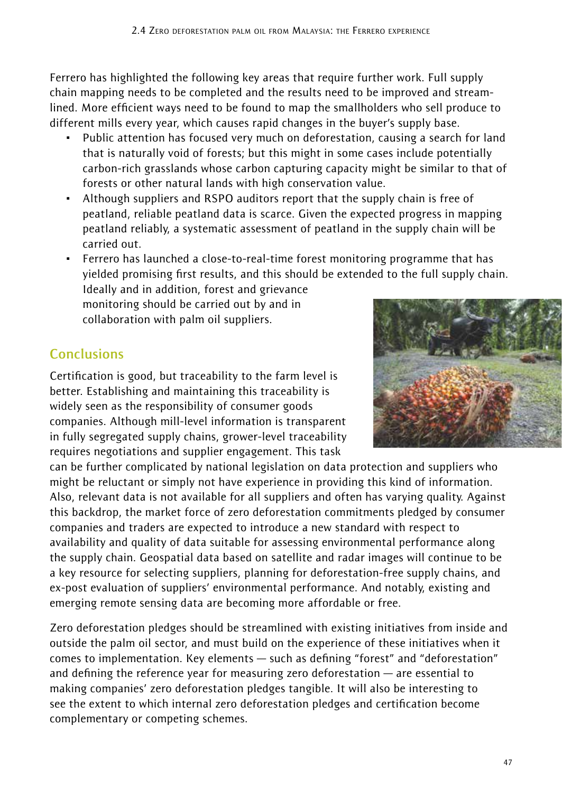Ferrero has highlighted the following key areas that require further work. Full supply chain mapping needs to be completed and the results need to be improved and streamlined. More efficient ways need to be found to map the smallholders who sell produce to different mills every year, which causes rapid changes in the buyer's supply base.

- Public attention has focused very much on deforestation, causing a search for land that is naturally void of forests; but this might in some cases include potentially carbon-rich grasslands whose carbon capturing capacity might be similar to that of forests or other natural lands with high conservation value.
- Although suppliers and RSPO auditors report that the supply chain is free of peatland, reliable peatland data is scarce. Given the expected progress in mapping peatland reliably, a systematic assessment of peatland in the supply chain will be carried out.
- ~ Ferrero has launched a close-to-real-time forest monitoring programme that has yielded promising first results, and this should be extended to the full supply chain. Ideally and in addition, forest and grievance

monitoring should be carried out by and in collaboration with palm oil suppliers.

# **Conclusions**

Certification is good, but traceability to the farm level is better. Establishing and maintaining this traceability is widely seen as the responsibility of consumer goods companies. Although mill-level information is transparent in fully segregated supply chains, grower-level traceability requires negotiations and supplier engagement. This task

can be further complicated by national legislation on data protection and suppliers who might be reluctant or simply not have experience in providing this kind of information. Also, relevant data is not available for all suppliers and often has varying quality. Against this backdrop, the market force of zero deforestation commitments pledged by consumer companies and traders are expected to introduce a new standard with respect to availability and quality of data suitable for assessing environmental performance along the supply chain. Geospatial data based on satellite and radar images will continue to be a key resource for selecting suppliers, planning for deforestation-free supply chains, and ex-post evaluation of suppliers' environmental performance. And notably, existing and emerging remote sensing data are becoming more affordable or free.

Zero deforestation pledges should be streamlined with existing initiatives from inside and outside the palm oil sector, and must build on the experience of these initiatives when it comes to implementation. Key elements — such as defining "forest" and "deforestation" and defining the reference year for measuring zero deforestation — are essential to making companies' zero deforestation pledges tangible. It will also be interesting to see the extent to which internal zero deforestation pledges and certification become complementary or competing schemes.